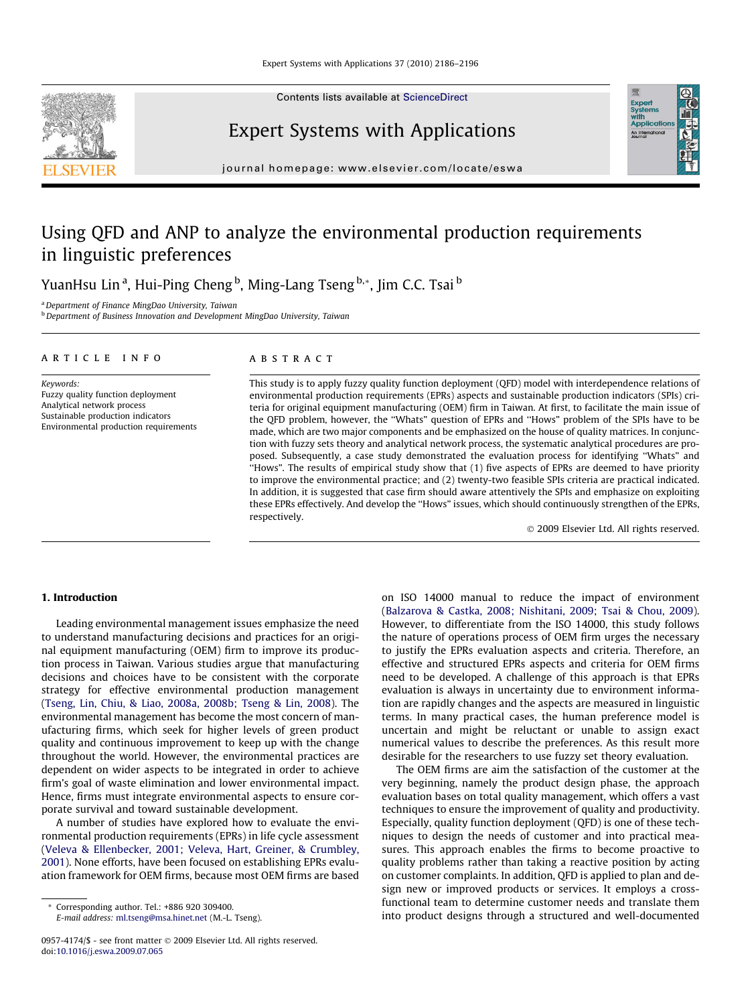Contents lists available at [ScienceDirect](http://www.sciencedirect.com/science/journal/09574174)

## Expert Systems with Applications

journal homepage: [www.elsevier.com/locate/eswa](http://www.elsevier.com/locate/eswa)

## Using QFD and ANP to analyze the environmental production requirements in linguistic preferences

YuanHsu Lin <sup>a</sup>, Hui-Ping Cheng <sup>b</sup>, Ming-Lang Tseng <sup>b,</sup>\*, Jim C.C. Tsai <sup>b</sup>

<sup>a</sup> Department of Finance MingDao University, Taiwan

**b** Department of Business Innovation and Development MingDao University, Taiwan

#### article info

Keywords: Fuzzy quality function deployment Analytical network process Sustainable production indicators Environmental production requirements

#### ABSTRACT

This study is to apply fuzzy quality function deployment (QFD) model with interdependence relations of environmental production requirements (EPRs) aspects and sustainable production indicators (SPIs) criteria for original equipment manufacturing (OEM) firm in Taiwan. At first, to facilitate the main issue of the QFD problem, however, the ''Whats" question of EPRs and ''Hows" problem of the SPIs have to be made, which are two major components and be emphasized on the house of quality matrices. In conjunction with fuzzy sets theory and analytical network process, the systematic analytical procedures are proposed. Subsequently, a case study demonstrated the evaluation process for identifying ''Whats" and ''Hows". The results of empirical study show that (1) five aspects of EPRs are deemed to have priority to improve the environmental practice; and (2) twenty-two feasible SPIs criteria are practical indicated. In addition, it is suggested that case firm should aware attentively the SPIs and emphasize on exploiting these EPRs effectively. And develop the ''Hows" issues, which should continuously strengthen of the EPRs, respectively.

- 2009 Elsevier Ltd. All rights reserved.

### 1. Introduction

Leading environmental management issues emphasize the need to understand manufacturing decisions and practices for an original equipment manufacturing (OEM) firm to improve its production process in Taiwan. Various studies argue that manufacturing decisions and choices have to be consistent with the corporate strategy for effective environmental production management ([Tseng, Lin, Chiu, & Liao, 2008a, 2008b; Tseng & Lin, 2008\)](#page--1-0). The environmental management has become the most concern of manufacturing firms, which seek for higher levels of green product quality and continuous improvement to keep up with the change throughout the world. However, the environmental practices are dependent on wider aspects to be integrated in order to achieve firm's goal of waste elimination and lower environmental impact. Hence, firms must integrate environmental aspects to ensure corporate survival and toward sustainable development.

A number of studies have explored how to evaluate the environmental production requirements (EPRs) in life cycle assessment ([Veleva & Ellenbecker, 2001; Veleva, Hart, Greiner, & Crumbley,](#page--1-0) [2001\)](#page--1-0). None efforts, have been focused on establishing EPRs evaluation framework for OEM firms, because most OEM firms are based

\* Corresponding author. Tel.: +886 920 309400.

E-mail address: [ml.tseng@msa.hinet.net](mailto:ml.tseng@msa.hinet.net) (M.-L. Tseng).

on ISO 14000 manual to reduce the impact of environment ([Balzarova & Castka, 2008; Nishitani, 2009; Tsai & Chou, 2009\)](#page--1-0). However, to differentiate from the ISO 14000, this study follows the nature of operations process of OEM firm urges the necessary to justify the EPRs evaluation aspects and criteria. Therefore, an effective and structured EPRs aspects and criteria for OEM firms need to be developed. A challenge of this approach is that EPRs evaluation is always in uncertainty due to environment information are rapidly changes and the aspects are measured in linguistic terms. In many practical cases, the human preference model is uncertain and might be reluctant or unable to assign exact numerical values to describe the preferences. As this result more desirable for the researchers to use fuzzy set theory evaluation.

The OEM firms are aim the satisfaction of the customer at the very beginning, namely the product design phase, the approach evaluation bases on total quality management, which offers a vast techniques to ensure the improvement of quality and productivity. Especially, quality function deployment (QFD) is one of these techniques to design the needs of customer and into practical measures. This approach enables the firms to become proactive to quality problems rather than taking a reactive position by acting on customer complaints. In addition, QFD is applied to plan and design new or improved products or services. It employs a crossfunctional team to determine customer needs and translate them into product designs through a structured and well-documented





<sup>0957-4174/\$ -</sup> see front matter © 2009 Elsevier Ltd. All rights reserved. doi:[10.1016/j.eswa.2009.07.065](http://dx.doi.org/10.1016/j.eswa.2009.07.065)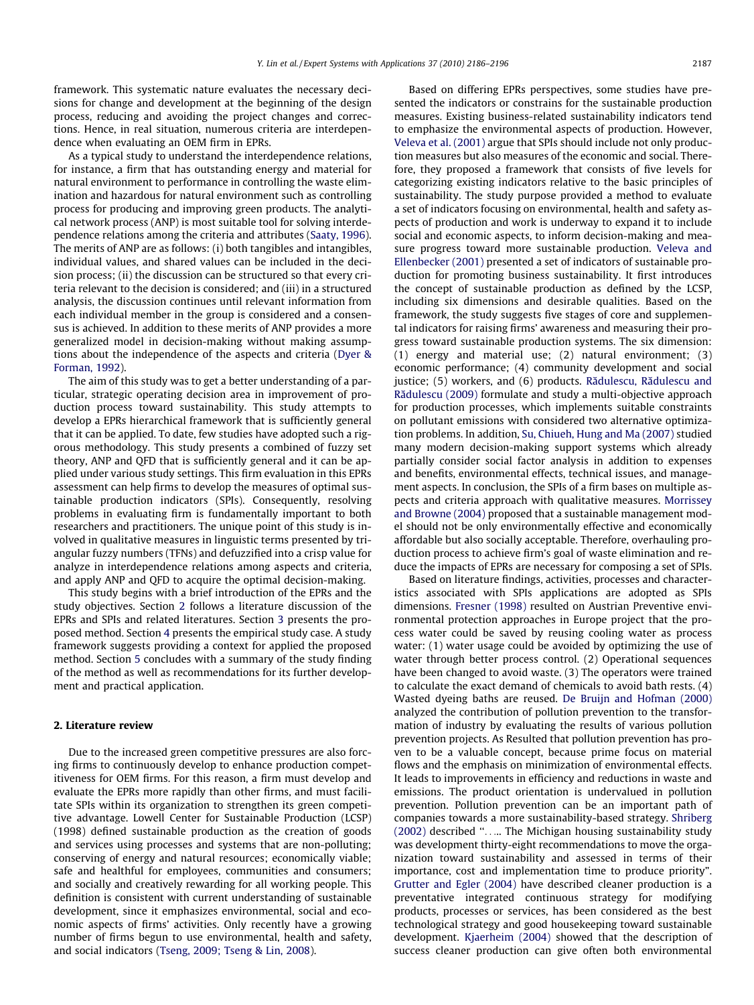framework. This systematic nature evaluates the necessary decisions for change and development at the beginning of the design process, reducing and avoiding the project changes and corrections. Hence, in real situation, numerous criteria are interdependence when evaluating an OEM firm in EPRs.

As a typical study to understand the interdependence relations, for instance, a firm that has outstanding energy and material for natural environment to performance in controlling the waste elimination and hazardous for natural environment such as controlling process for producing and improving green products. The analytical network process (ANP) is most suitable tool for solving interdependence relations among the criteria and attributes [\(Saaty, 1996\)](#page--1-0). The merits of ANP are as follows: (i) both tangibles and intangibles, individual values, and shared values can be included in the decision process; (ii) the discussion can be structured so that every criteria relevant to the decision is considered; and (iii) in a structured analysis, the discussion continues until relevant information from each individual member in the group is considered and a consensus is achieved. In addition to these merits of ANP provides a more generalized model in decision-making without making assumptions about the independence of the aspects and criteria ([Dyer &](#page--1-0) [Forman, 1992\)](#page--1-0).

The aim of this study was to get a better understanding of a particular, strategic operating decision area in improvement of production process toward sustainability. This study attempts to develop a EPRs hierarchical framework that is sufficiently general that it can be applied. To date, few studies have adopted such a rigorous methodology. This study presents a combined of fuzzy set theory, ANP and QFD that is sufficiently general and it can be applied under various study settings. This firm evaluation in this EPRs assessment can help firms to develop the measures of optimal sustainable production indicators (SPIs). Consequently, resolving problems in evaluating firm is fundamentally important to both researchers and practitioners. The unique point of this study is involved in qualitative measures in linguistic terms presented by triangular fuzzy numbers (TFNs) and defuzzified into a crisp value for analyze in interdependence relations among aspects and criteria, and apply ANP and QFD to acquire the optimal decision-making.

This study begins with a brief introduction of the EPRs and the study objectives. Section 2 follows a literature discussion of the EPRs and SPIs and related literatures. Section [3](#page--1-0) presents the proposed method. Section [4](#page--1-0) presents the empirical study case. A study framework suggests providing a context for applied the proposed method. Section [5](#page--1-0) concludes with a summary of the study finding of the method as well as recommendations for its further development and practical application.

#### 2. Literature review

Due to the increased green competitive pressures are also forcing firms to continuously develop to enhance production competitiveness for OEM firms. For this reason, a firm must develop and evaluate the EPRs more rapidly than other firms, and must facilitate SPIs within its organization to strengthen its green competitive advantage. Lowell Center for Sustainable Production (LCSP) (1998) defined sustainable production as the creation of goods and services using processes and systems that are non-polluting; conserving of energy and natural resources; economically viable; safe and healthful for employees, communities and consumers; and socially and creatively rewarding for all working people. This definition is consistent with current understanding of sustainable development, since it emphasizes environmental, social and economic aspects of firms' activities. Only recently have a growing number of firms begun to use environmental, health and safety, and social indicators [\(Tseng, 2009; Tseng & Lin, 2008](#page--1-0)).

Based on differing EPRs perspectives, some studies have presented the indicators or constrains for the sustainable production measures. Existing business-related sustainability indicators tend to emphasize the environmental aspects of production. However, [Veleva et al. \(2001\)](#page--1-0) argue that SPIs should include not only production measures but also measures of the economic and social. Therefore, they proposed a framework that consists of five levels for categorizing existing indicators relative to the basic principles of sustainability. The study purpose provided a method to evaluate a set of indicators focusing on environmental, health and safety aspects of production and work is underway to expand it to include social and economic aspects, to inform decision-making and measure progress toward more sustainable production. [Veleva and](#page--1-0) [Ellenbecker \(2001\)](#page--1-0) presented a set of indicators of sustainable production for promoting business sustainability. It first introduces the concept of sustainable production as defined by the LCSP, including six dimensions and desirable qualities. Based on the framework, the study suggests five stages of core and supplemental indicators for raising firms' awareness and measuring their progress toward sustainable production systems. The six dimension: (1) energy and material use; (2) natural environment; (3) economic performance; (4) community development and social justice; (5) workers, and (6) products. Rădulescu, Rădulescu and Rădulescu (2009) formulate and study a multi-objective approach for production processes, which implements suitable constraints on pollutant emissions with considered two alternative optimization problems. In addition, [Su, Chiueh, Hung and Ma \(2007\)](#page--1-0) studied many modern decision-making support systems which already partially consider social factor analysis in addition to expenses and benefits, environmental effects, technical issues, and management aspects. In conclusion, the SPIs of a firm bases on multiple aspects and criteria approach with qualitative measures. [Morrissey](#page--1-0) [and Browne \(2004\)](#page--1-0) proposed that a sustainable management model should not be only environmentally effective and economically affordable but also socially acceptable. Therefore, overhauling production process to achieve firm's goal of waste elimination and reduce the impacts of EPRs are necessary for composing a set of SPIs.

Based on literature findings, activities, processes and characteristics associated with SPIs applications are adopted as SPIs dimensions. [Fresner \(1998\)](#page--1-0) resulted on Austrian Preventive environmental protection approaches in Europe project that the process water could be saved by reusing cooling water as process water: (1) water usage could be avoided by optimizing the use of water through better process control. (2) Operational sequences have been changed to avoid waste. (3) The operators were trained to calculate the exact demand of chemicals to avoid bath rests. (4) Wasted dyeing baths are reused. [De Bruijn and Hofman \(2000\)](#page--1-0) analyzed the contribution of pollution prevention to the transformation of industry by evaluating the results of various pollution prevention projects. As Resulted that pollution prevention has proven to be a valuable concept, because prime focus on material flows and the emphasis on minimization of environmental effects. It leads to improvements in efficiency and reductions in waste and emissions. The product orientation is undervalued in pollution prevention. Pollution prevention can be an important path of companies towards a more sustainability-based strategy. [Shriberg](#page--1-0) [\(2002\)](#page--1-0) described ''..... The Michigan housing sustainability study was development thirty-eight recommendations to move the organization toward sustainability and assessed in terms of their importance, cost and implementation time to produce priority". [Grutter and Egler \(2004\)](#page--1-0) have described cleaner production is a preventative integrated continuous strategy for modifying products, processes or services, has been considered as the best technological strategy and good housekeeping toward sustainable development. [Kjaerheim \(2004\)](#page--1-0) showed that the description of success cleaner production can give often both environmental